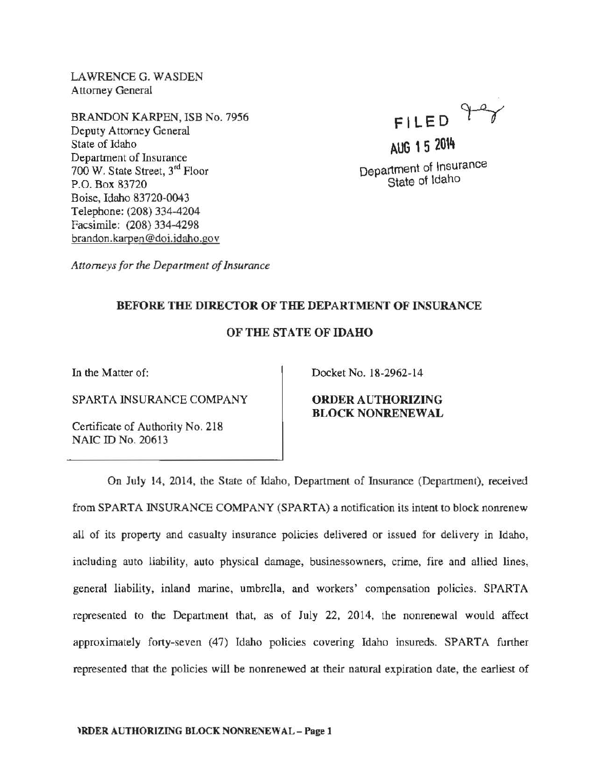LAWRENCE G. WASDEN Attorney General

BRANDON KARPEN, ISB No. 7956 Deputy Attorney General State of Idaho Department of Insurance 700 W. State Street, 3rd Floor P.O. Box 83720 Boise, Idaho 83720-0043 Telephone: (208) 334-4204 Facsimile: (208) 334-4298 brandon.karpen @doi.idaho.gov

 $FILED$ AUG 15 2014

Department of Insurance State of Idaho

*Attorneys for the Department of Insurance* 

## BEFORE THE DIRECTOR OF THE DEPARTMENT OF INSURANCE

## OF THE STATE OF IDAHO

In the Matter of:

SPARTA INSURANCE COMPANY

Certificate of Authority No. 218 NAIC ID No. 20613

Docket No. 18-2962-14

ORDER AUTHORIZING BLOCK NONRENEWAL

On July 14, 2014, the State of Idaho, Department of Insurance (Department), received from SPARTA INSURANCE COMPANY (SPARTA) a notification its intent to block nonrenew all of its property and casualty insurance policies delivered or issued for delivery in Idaho, including auto liability, auto physical damage, businessowners, crime, fire and allied lines, general liability, inland marine, umbrella, and workers' compensation policies. SPARTA represented to the Department that, as of July 22, 2014, the nonrenewal would affect approximately forty-seven (47) Idaho policies covering Idaho insureds. SPARTA further represented that the policies will be nonrenewed at their natural expiration date, the earliest of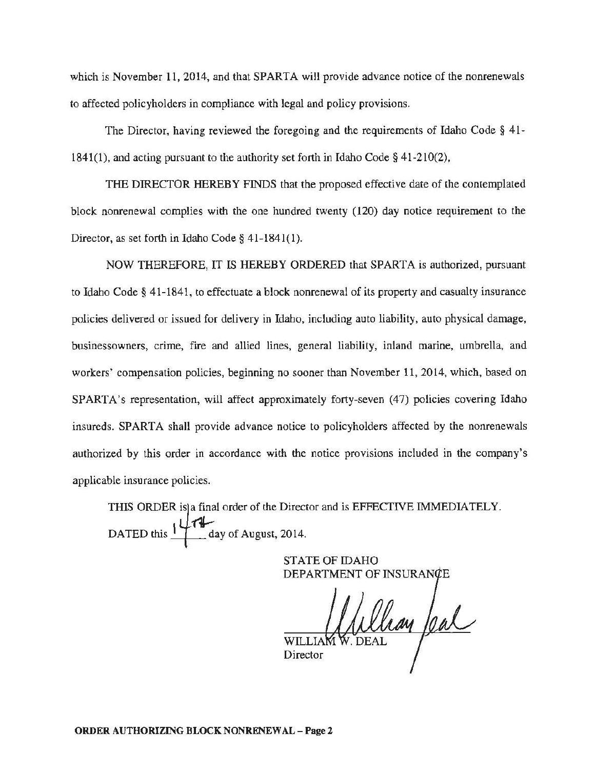which is November 11, 2014, and that SPARTA will provide advance notice of the nonrenewals to affected policyholders in compliance with legal and policy provisions.

The Director, having reviewed the foregoing and the requirements of Idaho Code § 41- 1841(1), and acting pursuant to the authority set forth in Idaho Code  $\S$  41-210(2),

THE DIRECTOR HEREBY FINDS that the proposed effective date of the contemplated block nonrenewal complies with the one hundred twenty ( 120) day notice requirement to the Director, as set forth in Idaho Code§ 41-1841(1).

NOW THEREFORE, IT IS HEREBY ORDERED that SPARTA is authorized, pursuant to Idaho Code§ 41-1841, to effectuate a block nonrenewal of its property and casualty insurance policies delivered or issued for delivery in Idaho, including auto liability, auto physical damage, businessowners, crime, fire and allied lines, general liability, inland marine, umbrella, and workers' compensation policies, beginning no sooner than November 11, 2014, which, based on SPARTA's representation, will affect approximately forty-seven (47) policies covering Idaho insureds. SPARTA shall provide advance notice to policyholders affected by the nonrenewals authorized by this order in accordance with the notice provisions included in the company's applicable insurance policies.

THIS ORDER is a final order of the Director and is EFFECTIVE IMMEDIATELY. DATED this  $\frac{1}{4}$  day of August, 2014.

> STATE OF IDAHO DEPARTMENT OF INSU

William feal WILLIA Director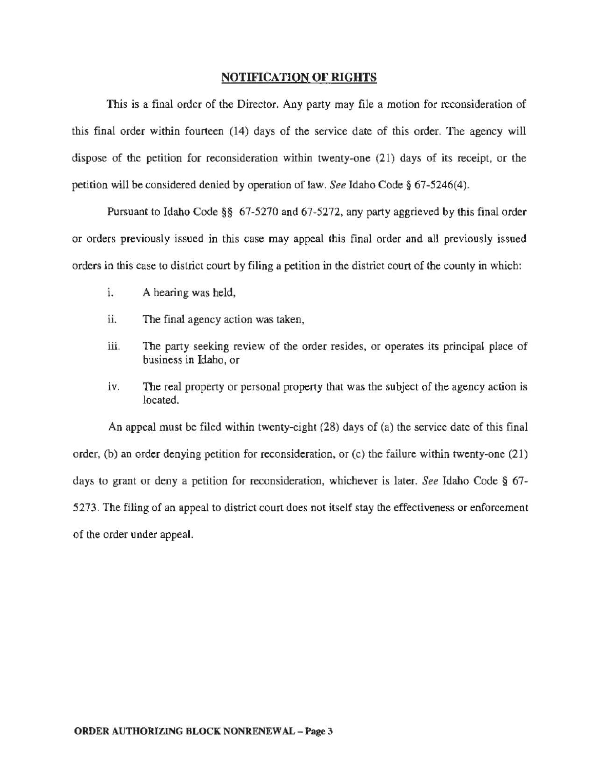## NOTIFICATION OF RIGHTS

This is a final order of the Director. Any party may file a motion for reconsideration of this final order within fourteen (14) days of the service date of this order. The agency will dispose of the petition for reconsideration within twenty-one (21) days of its receipt, or the petition will be considered denied by operation of law. *See* Idaho Code§ 67-5246(4).

Pursuant to Idaho Code§§ 67-5270 and 67-5272, any party aggrieved by this final order or orders previously issued in this case may appeal this final order and all previously issued orders in this case to district court by filing a petition in the district court of the county in which:

- 1. A hearing was held,
- ii. The final agency action was taken,
- iii. The party seeking review of the order resides, or operates its principal place of business in Idaho, or
- iv. The real property or personal property that was the subject of the agency action is located.

An appeal must be filed within twenty-eight (28) days of (a) the service date of this final order, (b) an order denying petition for reconsideration, or (c) the failure within twenty-one (21) days to grant or deny a petition for reconsideration, whichever is later. *See* Idaho Code § 67- 5273. The filing of an appeal to district court does not itself stay the effectiveness or enforcement of the order under appeal.